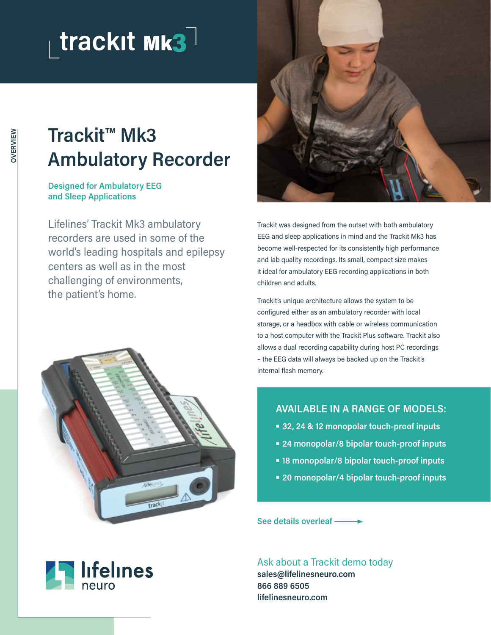## trackit Mk3

## **Trackit™ Mk3 Ambulatory Recorder**

**Designed for Ambulatory EEG and Sleep Applications**

Lifelines' Trackit Mk3 ambulatory recorders are used in some of the world's leading hospitals and epilepsy centers as well as in the most challenging of environments, the patient's home.





Trackit was designed from the outset with both ambulatory EEG and sleep applications in mind and the Trackit Mk3 has become well-respected for its consistently high performance and lab quality recordings. Its small, compact size makes it ideal for ambulatory EEG recording applications in both children and adults.

Trackit's unique architecture allows the system to be configured either as an ambulatory recorder with local storage, or a headbox with cable or wireless communication to a host computer with the Trackit Plus software. Trackit also allows a dual recording capability during host PC recordings – the EEG data will always be backed up on the Trackit's internal flash memory.

## **AVAILABLE IN A RANGE OF MODELS:**

- **32, 24 & 12 monopolar touch-proof inputs**
- **24 monopolar/8 bipolar touch-proof inputs**
- **18 monopolar/8 bipolar touch-proof inputs**
- **20 monopolar/4 bipolar touch-proof inputs**

**See details overleaf**

Ask about a Trackit demo today **sales@lifelinesneuro.com 866 889 6505 lifelinesneuro.com**